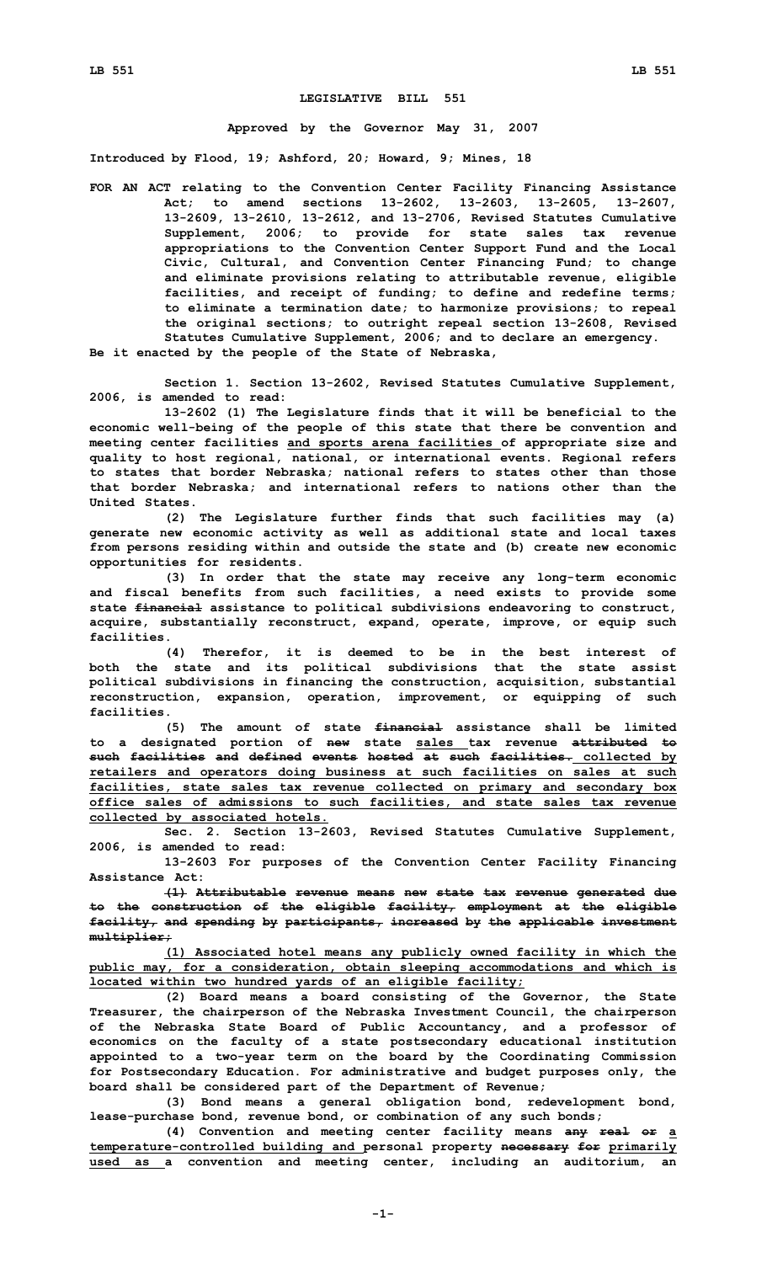## **LEGISLATIVE BILL 551**

## **Approved by the Governor May 31, 2007**

**Introduced by Flood, 19; Ashford, 20; Howard, 9; Mines, 18**

**FOR AN ACT relating to the Convention Center Facility Financing Assistance Act; to amend sections 13-2602, 13-2603, 13-2605, 13-2607, 13-2609, 13-2610, 13-2612, and 13-2706, Revised Statutes Cumulative Supplement, 2006; to provide for state sales tax revenue appropriations to the Convention Center Support Fund and the Local Civic, Cultural, and Convention Center Financing Fund; to change and eliminate provisions relating to attributable revenue, eligible facilities, and receipt of funding; to define and redefine terms; to eliminate <sup>a</sup> termination date; to harmonize provisions; to repeal the original sections; to outright repeal section 13-2608, Revised Statutes Cumulative Supplement, 2006; and to declare an emergency. Be it enacted by the people of the State of Nebraska,**

**Section 1. Section 13-2602, Revised Statutes Cumulative Supplement, 2006, is amended to read:**

**13-2602 (1) The Legislature finds that it will be beneficial to the economic well-being of the people of this state that there be convention and meeting center facilities and sports arena facilities of appropriate size and quality to host regional, national, or international events. Regional refers to states that border Nebraska; national refers to states other than those that border Nebraska; and international refers to nations other than the United States.**

**(2) The Legislature further finds that such facilities may (a) generate new economic activity as well as additional state and local taxes from persons residing within and outside the state and (b) create new economic opportunities for residents.**

**(3) In order that the state may receive any long-term economic and fiscal benefits from such facilities, <sup>a</sup> need exists to provide some state financial assistance to political subdivisions endeavoring to construct, acquire, substantially reconstruct, expand, operate, improve, or equip such facilities.**

**(4) Therefor, it is deemed to be in the best interest of both the state and its political subdivisions that the state assist political subdivisions in financing the construction, acquisition, substantial reconstruction, expansion, operation, improvement, or equipping of such facilities.**

**(5) The amount of state financial assistance shall be limited to <sup>a</sup> designated portion of new state sales tax revenue attributed to such facilities and defined events hosted at such facilities. collected by retailers and operators doing business at such facilities on sales at such facilities, state sales tax revenue collected on primary and secondary box office sales of admissions to such facilities, and state sales tax revenue collected by associated hotels.**

**Sec. 2. Section 13-2603, Revised Statutes Cumulative Supplement, 2006, is amended to read:**

**13-2603 For purposes of the Convention Center Facility Financing Assistance Act:**

**(1) Attributable revenue means new state tax revenue generated due to the construction of the eligible facility, employment at the eligible facility, and spending by participants, increased by the applicable investment multiplier;**

**(1) Associated hotel means any publicly owned facility in which the public may, for <sup>a</sup> consideration, obtain sleeping accommodations and which is located within two hundred yards of an eligible facility;**

**(2) Board means <sup>a</sup> board consisting of the Governor, the State Treasurer, the chairperson of the Nebraska Investment Council, the chairperson of the Nebraska State Board of Public Accountancy, and <sup>a</sup> professor of economics on the faculty of <sup>a</sup> state postsecondary educational institution appointed to <sup>a</sup> two-year term on the board by the Coordinating Commission for Postsecondary Education. For administrative and budget purposes only, the board shall be considered part of the Department of Revenue;**

**(3) Bond means <sup>a</sup> general obligation bond, redevelopment bond, lease-purchase bond, revenue bond, or combination of any such bonds;**

**(4) Convention and meeting center facility means any real or <sup>a</sup> temperature-controlled building and personal property necessary for primarily used as <sup>a</sup> convention and meeting center, including an auditorium, an**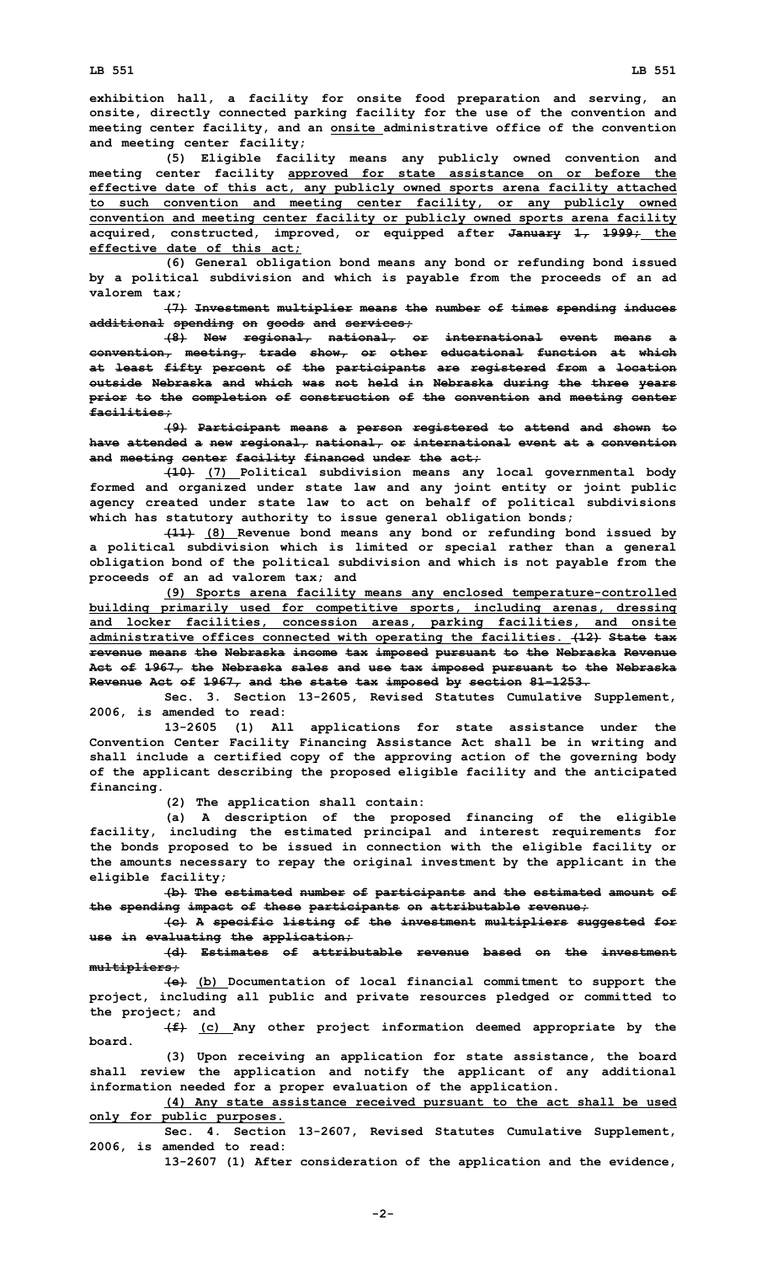**exhibition hall, <sup>a</sup> facility for onsite food preparation and serving, an onsite, directly connected parking facility for the use of the convention and meeting center facility, and an onsite administrative office of the convention and meeting center facility;**

**(5) Eligible facility means any publicly owned convention and meeting center facility approved for state assistance on or before the effective date of this act, any publicly owned sports arena facility attached to such convention and meeting center facility, or any publicly owned convention and meeting center facility or publicly owned sports arena facility acquired, constructed, improved, or equipped after January 1, 1999; the effective date of this act;**

**(6) General obligation bond means any bond or refunding bond issued by <sup>a</sup> political subdivision and which is payable from the proceeds of an ad valorem tax;**

**(7) Investment multiplier means the number of times spending induces additional spending on goods and services;**

**(8) New regional, national, or international event means <sup>a</sup> convention, meeting, trade show, or other educational function at which at least fifty percent of the participants are registered from <sup>a</sup> location outside Nebraska and which was not held in Nebraska during the three years prior to the completion of construction of the convention and meeting center facilities;**

**(9) Participant means <sup>a</sup> person registered to attend and shown to have attended <sup>a</sup> new regional, national, or international event at <sup>a</sup> convention and meeting center facility financed under the act;**

**(10) (7) Political subdivision means any local governmental body formed and organized under state law and any joint entity or joint public agency created under state law to act on behalf of political subdivisions which has statutory authority to issue general obligation bonds;**

**(11) (8) Revenue bond means any bond or refunding bond issued by <sup>a</sup> political subdivision which is limited or special rather than <sup>a</sup> general obligation bond of the political subdivision and which is not payable from the proceeds of an ad valorem tax; and**

**(9) Sports arena facility means any enclosed temperature-controlled building primarily used for competitive sports, including arenas, dressing and locker facilities, concession areas, parking facilities, and onsite administrative offices connected with operating the facilities. (12) State tax revenue means the Nebraska income tax imposed pursuant to the Nebraska Revenue Act of 1967, the Nebraska sales and use tax imposed pursuant to the Nebraska Revenue Act of 1967, and the state tax imposed by section 81-1253.**

**Sec. 3. Section 13-2605, Revised Statutes Cumulative Supplement, 2006, is amended to read:**

**13-2605 (1) All applications for state assistance under the Convention Center Facility Financing Assistance Act shall be in writing and shall include <sup>a</sup> certified copy of the approving action of the governing body of the applicant describing the proposed eligible facility and the anticipated financing.**

**(2) The application shall contain:**

**(a) <sup>A</sup> description of the proposed financing of the eligible facility, including the estimated principal and interest requirements for the bonds proposed to be issued in connection with the eligible facility or the amounts necessary to repay the original investment by the applicant in the eligible facility;**

**(b) The estimated number of participants and the estimated amount of the spending impact of these participants on attributable revenue;**

**(c) <sup>A</sup> specific listing of the investment multipliers suggested for use in evaluating the application;**

**(d) Estimates of attributable revenue based on the investment multipliers;**

**(e) (b) Documentation of local financial commitment to support the project, including all public and private resources pledged or committed to the project; and**

**(f) (c) Any other project information deemed appropriate by the board.**

**(3) Upon receiving an application for state assistance, the board shall review the application and notify the applicant of any additional information needed for <sup>a</sup> proper evaluation of the application.**

**(4) Any state assistance received pursuant to the act shall be used only for public purposes.**

**Sec. 4. Section 13-2607, Revised Statutes Cumulative Supplement, 2006, is amended to read:**

**13-2607 (1) After consideration of the application and the evidence,**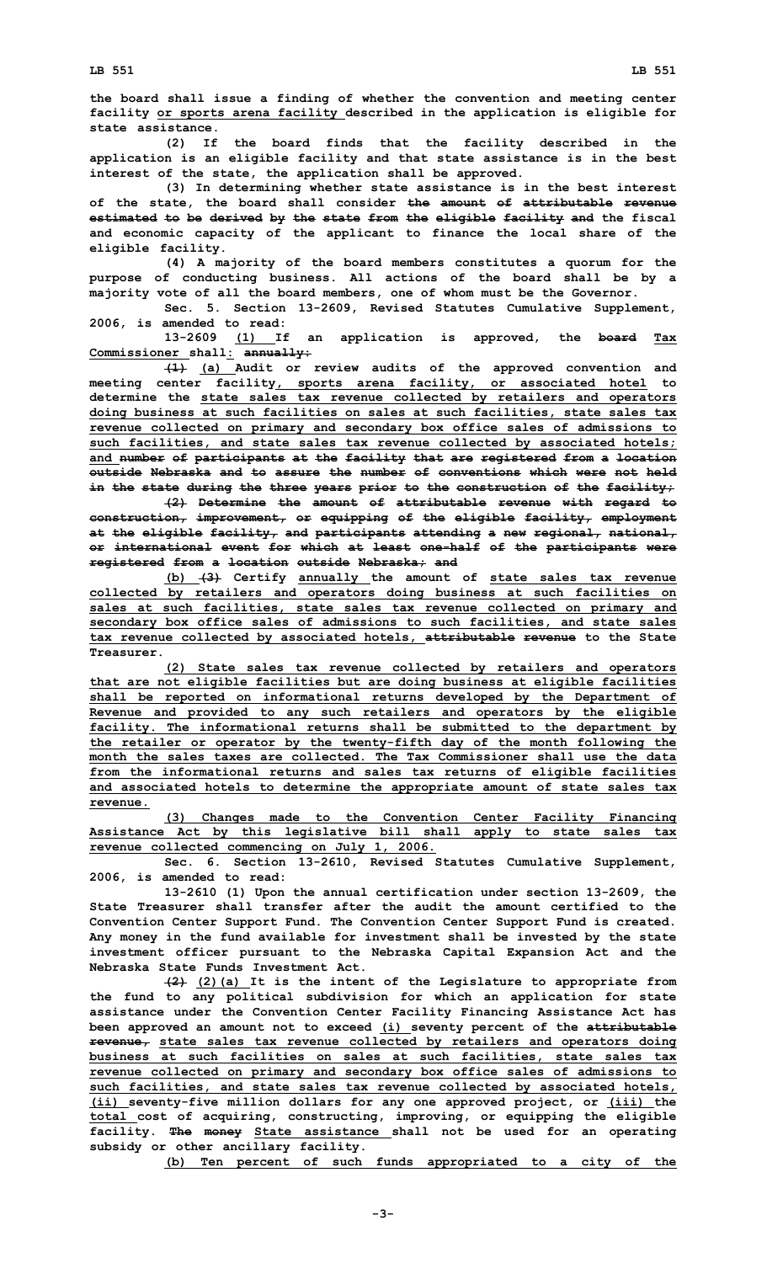**the board shall issue <sup>a</sup> finding of whether the convention and meeting center facility or sports arena facility described in the application is eligible for state assistance.**

**(2) If the board finds that the facility described in the application is an eligible facility and that state assistance is in the best interest of the state, the application shall be approved.**

**(3) In determining whether state assistance is in the best interest of the state, the board shall consider the amount of attributable revenue estimated to be derived by the state from the eligible facility and the fiscal and economic capacity of the applicant to finance the local share of the eligible facility.**

**(4) <sup>A</sup> majority of the board members constitutes <sup>a</sup> quorum for the purpose of conducting business. All actions of the board shall be by <sup>a</sup> majority vote of all the board members, one of whom must be the Governor.**

**Sec. 5. Section 13-2609, Revised Statutes Cumulative Supplement, 2006, is amended to read:**

**13-2609 (1) If an application is approved, the board Tax Commissioner shall: annually:**

**(1) (a) Audit or review audits of the approved convention and meeting center facility, sports arena facility, or associated hotel to determine the state sales tax revenue collected by retailers and operators doing business at such facilities on sales at such facilities, state sales tax revenue collected on primary and secondary box office sales of admissions to such facilities, and state sales tax revenue collected by associated hotels; and number of participants at the facility that are registered from <sup>a</sup> location outside Nebraska and to assure the number of conventions which were not held in the state during the three years prior to the construction of the facility;**

**(2) Determine the amount of attributable revenue with regard to construction, improvement, or equipping of the eligible facility, employment at the eligible facility, and participants attending <sup>a</sup> new regional, national, or international event for which at least one-half of the participants were registered from <sup>a</sup> location outside Nebraska; and**

**(b) (3) Certify annually the amount of state sales tax revenue collected by retailers and operators doing business at such facilities on sales at such facilities, state sales tax revenue collected on primary and secondary box office sales of admissions to such facilities, and state sales tax revenue collected by associated hotels, attributable revenue to the State Treasurer.**

**(2) State sales tax revenue collected by retailers and operators that are not eligible facilities but are doing business at eligible facilities shall be reported on informational returns developed by the Department of Revenue and provided to any such retailers and operators by the eligible facility. The informational returns shall be submitted to the department by the retailer or operator by the twenty-fifth day of the month following the month the sales taxes are collected. The Tax Commissioner shall use the data from the informational returns and sales tax returns of eligible facilities and associated hotels to determine the appropriate amount of state sales tax revenue.**

**(3) Changes made to the Convention Center Facility Financing Assistance Act by this legislative bill shall apply to state sales tax revenue collected commencing on July 1, 2006.**

**Sec. 6. Section 13-2610, Revised Statutes Cumulative Supplement, 2006, is amended to read:**

**13-2610 (1) Upon the annual certification under section 13-2609, the State Treasurer shall transfer after the audit the amount certified to the Convention Center Support Fund. The Convention Center Support Fund is created. Any money in the fund available for investment shall be invested by the state investment officer pursuant to the Nebraska Capital Expansion Act and the Nebraska State Funds Investment Act.**

**(2) (2)(a) It is the intent of the Legislature to appropriate from the fund to any political subdivision for which an application for state assistance under the Convention Center Facility Financing Assistance Act has been approved an amount not to exceed (i) seventy percent of the attributable revenue, state sales tax revenue collected by retailers and operators doing business at such facilities on sales at such facilities, state sales tax revenue collected on primary and secondary box office sales of admissions to such facilities, and state sales tax revenue collected by associated hotels, (ii) seventy-five million dollars for any one approved project, or (iii) the total cost of acquiring, constructing, improving, or equipping the eligible facility. The money State assistance shall not be used for an operating subsidy or other ancillary facility.**

**(b) Ten percent of such funds appropriated to <sup>a</sup> city of the**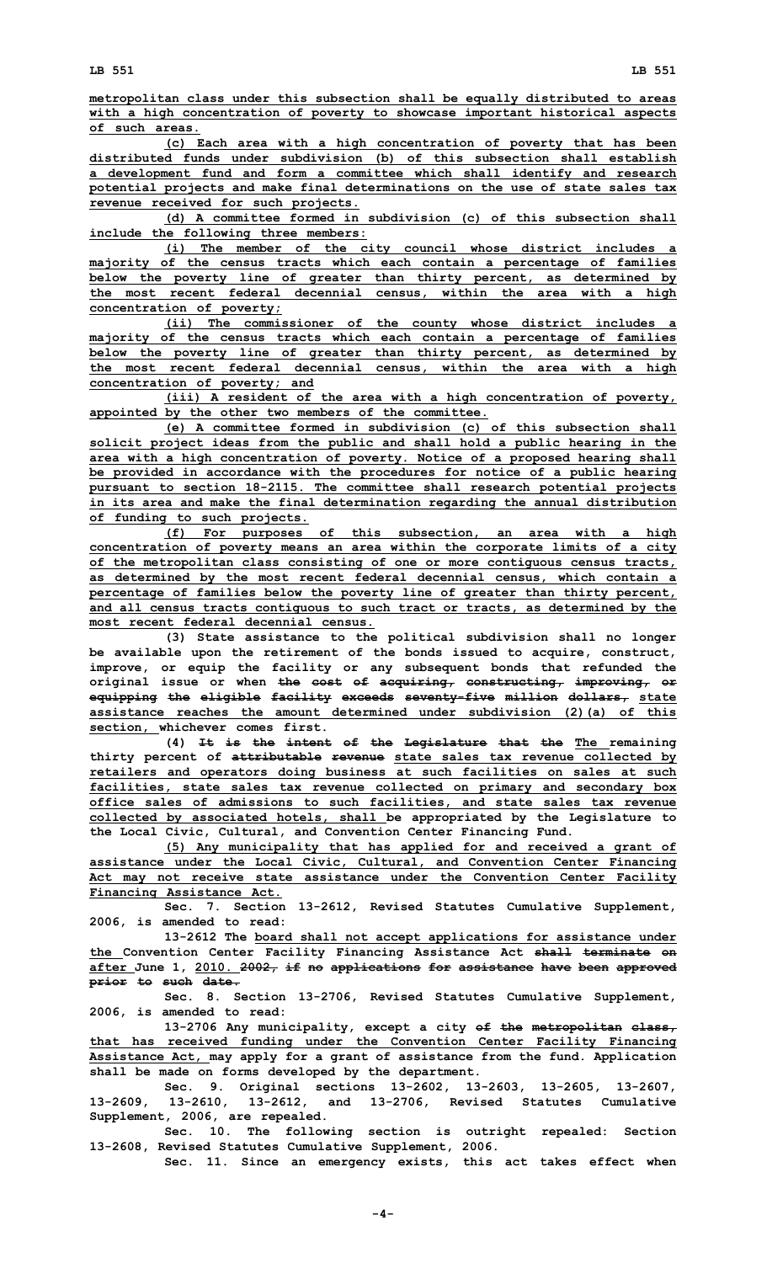**metropolitan class under this subsection shall be equally distributed to areas with <sup>a</sup> high concentration of poverty to showcase important historical aspects of such areas.**

**(c) Each area with <sup>a</sup> high concentration of poverty that has been distributed funds under subdivision (b) of this subsection shall establish <sup>a</sup> development fund and form <sup>a</sup> committee which shall identify and research potential projects and make final determinations on the use of state sales tax revenue received for such projects.**

**(d) A committee formed in subdivision (c) of this subsection shall include the following three members:**

**(i) The member of the city council whose district includes <sup>a</sup> majority of the census tracts which each contain <sup>a</sup> percentage of families below the poverty line of greater than thirty percent, as determined by the most recent federal decennial census, within the area with <sup>a</sup> high concentration of poverty;**

**(ii) The commissioner of the county whose district includes <sup>a</sup> majority of the census tracts which each contain <sup>a</sup> percentage of families below the poverty line of greater than thirty percent, as determined by the most recent federal decennial census, within the area with <sup>a</sup> high concentration of poverty; and**

**(iii) <sup>A</sup> resident of the area with <sup>a</sup> high concentration of poverty, appointed by the other two members of the committee.**

**(e) A committee formed in subdivision (c) of this subsection shall solicit project ideas from the public and shall hold <sup>a</sup> public hearing in the area with <sup>a</sup> high concentration of poverty. Notice of <sup>a</sup> proposed hearing shall be provided in accordance with the procedures for notice of <sup>a</sup> public hearing pursuant to section 18-2115. The committee shall research potential projects in its area and make the final determination regarding the annual distribution of funding to such projects.**

**(f) For purposes of this subsection, an area with <sup>a</sup> high concentration of poverty means an area within the corporate limits of <sup>a</sup> city of the metropolitan class consisting of one or more contiguous census tracts, as determined by the most recent federal decennial census, which contain <sup>a</sup> percentage of families below the poverty line of greater than thirty percent, and all census tracts contiguous to such tract or tracts, as determined by the most recent federal decennial census.**

**(3) State assistance to the political subdivision shall no longer be available upon the retirement of the bonds issued to acquire, construct, improve, or equip the facility or any subsequent bonds that refunded the original issue or when the cost of acquiring, constructing, improving, or equipping the eligible facility exceeds seventy-five million dollars, state assistance reaches the amount determined under subdivision (2)(a) of this section, whichever comes first.**

**(4) It is the intent of the Legislature that the The remaining thirty percent of attributable revenue state sales tax revenue collected by retailers and operators doing business at such facilities on sales at such facilities, state sales tax revenue collected on primary and secondary box office sales of admissions to such facilities, and state sales tax revenue collected by associated hotels, shall be appropriated by the Legislature to the Local Civic, Cultural, and Convention Center Financing Fund.**

**(5) Any municipality that has applied for and received <sup>a</sup> grant of assistance under the Local Civic, Cultural, and Convention Center Financing Act may not receive state assistance under the Convention Center Facility Financing Assistance Act.**

**Sec. 7. Section 13-2612, Revised Statutes Cumulative Supplement, 2006, is amended to read:**

**13-2612 The board shall not accept applications for assistance under the Convention Center Facility Financing Assistance Act shall terminate on after June 1, 2010. 2002, if no applications for assistance have been approved prior to such date.**

**Sec. 8. Section 13-2706, Revised Statutes Cumulative Supplement, 2006, is amended to read:**

**13-2706 Any municipality, except <sup>a</sup> city of the metropolitan class, that has received funding under the Convention Center Facility Financing Assistance Act, may apply for <sup>a</sup> grant of assistance from the fund. Application shall be made on forms developed by the department.**

**Sec. 9. Original sections 13-2602, 13-2603, 13-2605, 13-2607, 13-2609, 13-2610, 13-2612, and 13-2706, Revised Statutes Cumulative Supplement, 2006, are repealed.**

**Sec. 10. The following section is outright repealed: Section 13-2608, Revised Statutes Cumulative Supplement, 2006.**

**Sec. 11. Since an emergency exists, this act takes effect when**